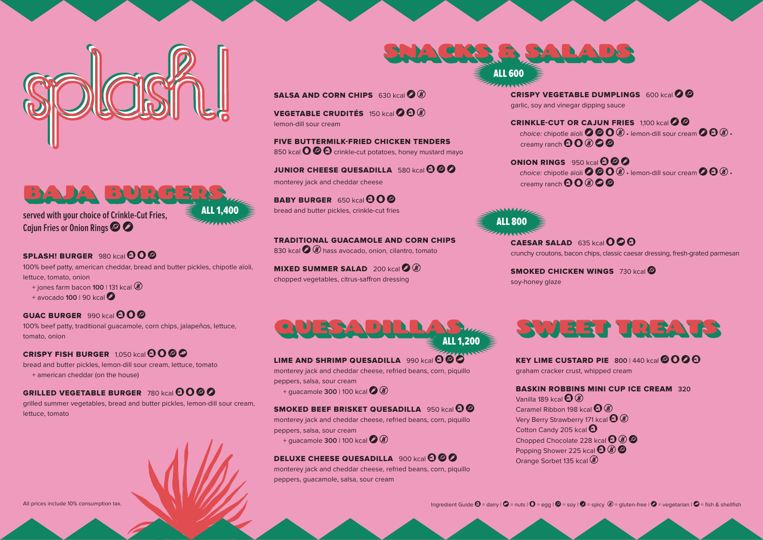**KEY LIME CUSTARD PIE** 800 | 440 kcal  $\odot$  0  $\odot$   $\odot$ graham cracker crust, whipped cream

BASKIN ROBBINS MINI CUP ICE CREAM **320** Vanilla 189 kcal  $\bigoplus$   $\mathcal{C}$ Caramel Ribbon 198 kcal  $\bigoplus$   $\bigcircledast$ Very Berry Strawberry 171 kcal  $\bigodot \circledast$ Cotton Candy 205 kcal  $\boldsymbol{\Theta}$ Chopped Chocolate 228 kcal  $\bigoplus$   $\bigotimes$   $\bigotimes$ Popping Shower 225 kcal  $\bigoplus$   $\bigotimes$   $\bigotimes$ Orange Sorbet 135 kcal



 $CAESAR SALAD 635 kcal  $Q \otimes Q$$ 







**Caiun Fries or Onion Rings © 2** 

# **SPLASH! BURGER** 980 kcal  $\mathbf{\Theta}$   $\mathbf{\Theta}$

FIVE BUTTERMILK-FRIED CHICKEN TENDERS 850 kcal  $\bigcirc \circ \bigcirc$  crinkle-cut potatoes, honey mustard mayo

100% beef patty, american cheddar, bread and butter pickles, chipotle aïoli, lettuce, tomato, onion

**JUNIOR CHEESE QUESADILLA** 580 kcal **4 © 0** monterey jack and cheddar cheese

- + jones farm bacon **100** | 131 kcal g
- + avocado **100** | 90 kcal v

# **GUAC BURGER** 990 kcal  $\mathbf{\Omega} \mathbf{O} \mathbf{\Omega}$

**BABY BURGER** 650 kcal  $\mathbf{\Omega}$   $\mathbf{\Omega}$ bread and butter pickles, crinkle-cut fries

CRISPY VEGETABLE DUMPLINGS  $600$  kcal  $\bigcirc$   $\bigcirc$ garlic, soy and vinegar dipping sauce

**CRINKLE-CUT OR CAJUN FRIES** 1,100 kcal **O** choice: chipotle aïoli  $\Omega$   $\Omega$   $\Omega$   $\Omega$   $\ldots$  lemon-dill sour cream  $\Omega$   $\Omega$   $\Omega$   $\ldots$ creamy ranch  $\mathbf{O} \mathbf{O} \otimes \mathbf{O}$ 

ONION RINGS 950 kcal  $\boldsymbol{\Theta} \boldsymbol{\emptyset}$ choice: chipotle aïoli  $\bullet \circ \bullet \circ \ast$  lemon-dill sour cream  $\bullet \bullet \circ \ast$ . creamy ranch  $\mathbf{O} \mathbf{O} \otimes \mathbf{O}$ 

100% beef patty, traditional guacamole, corn chips, jalapeños, lettuce, tomato, onion

# **CRISPY FISH BURGER**  $1,050$  kcal  $\Theta$   $\Theta$   $\Theta$

TRADITIONAL GUACAMOLE AND CORN CHIPS 830 kcal  $\bigcirc$   $\circledast$  hass avocado, onion, cilantro, tomato

bread and butter pickles, lemon-dill sour cream, lettuce, tomato + american cheddar (on the house)

# **GRILLED VEGETABLE BURGER 780 kcal 0000**

**MIXED SUMMER SALAD** 200 kcal **3 (3)** chopped vegetables, citrus-saffron dressing

**SMOKED CHICKEN WINGS** 730 kcal **S** soy-honey glaze

grilled summer vegetables, bread and butter pickles, lemon-dill sour cream, lettuce, tomato



**SALSA AND CORN CHIPS** 630 kcal 2 (8)

**VEGETABLE CRUDITÉS**  $150$  kcal  $\odot$   $\odot$   $\odot$ 

lemon-dill sour cream



## LIME AND SHRIMP QUESADILLA 990 kcal  $\odot$   $\odot$



crunchy croutons, bacon chips, classic caesar dressing, fresh-grated parmesan

monterey jack and cheddar cheese, refried beans, corn, piquillo peppers, salsa, sour cream

+ guacamole **300** | 100 kcal  $\bigcirc$   $\bigcirc$ 

## **SMOKED BEEF BRISKET QUESADILLA** 950 kcal **a**

monterey jack and cheddar cheese, refried beans, corn, piquillo peppers, salsa, sour cream

+ guacamole **300** | 100 kcal  $\bigcirc$  ( $\bigcirc$ 

# **DELUXE CHEESE QUESADILLA** 900 kcal **a**  $\odot$

monterey jack and cheddar cheese, refried beans, corn, piquillo peppers, guacamole, salsa, sour cream